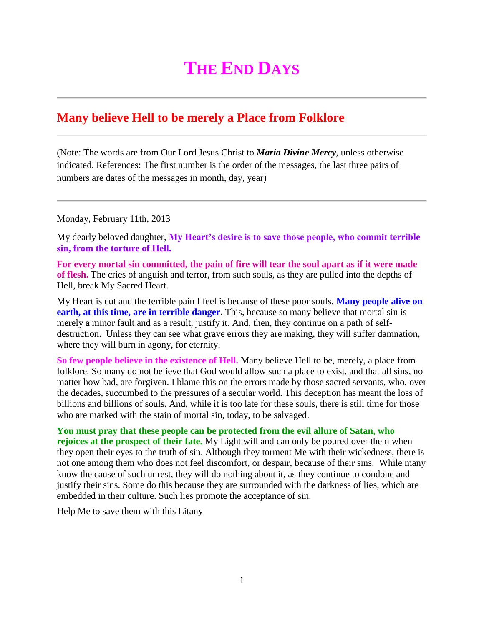## **THE END DAYS**

## **Many believe Hell to be merely a Place from Folklore**

(Note: The words are from Our Lord Jesus Christ to *Maria Divine Mercy*, unless otherwise indicated. References: The first number is the order of the messages, the last three pairs of numbers are dates of the messages in month, day, year)

Monday, February 11th, 2013

My dearly beloved daughter, **My Heart's desire is to save those people, who commit terrible sin, from the torture of Hell.**

**For every mortal sin committed, the pain of fire will tear the soul apart as if it were made of flesh.** The cries of anguish and terror, from such souls, as they are pulled into the depths of Hell, break My Sacred Heart.

My Heart is cut and the terrible pain I feel is because of these poor souls. **Many people alive on earth, at this time, are in terrible danger.** This, because so many believe that mortal sin is merely a minor fault and as a result, justify it. And, then, they continue on a path of selfdestruction. Unless they can see what grave errors they are making, they will suffer damnation, where they will burn in agony, for eternity.

**So few people believe in the existence of Hell.** Many believe Hell to be, merely, a place from folklore. So many do not believe that God would allow such a place to exist, and that all sins, no matter how bad, are forgiven. I blame this on the errors made by those sacred servants, who, over the decades, succumbed to the pressures of a secular world. This deception has meant the loss of billions and billions of souls. And, while it is too late for these souls, there is still time for those who are marked with the stain of mortal sin, today, to be salvaged.

**You must pray that these people can be protected from the evil allure of Satan, who rejoices at the prospect of their fate.** My Light will and can only be poured over them when they open their eyes to the truth of sin. Although they torment Me with their wickedness, there is not one among them who does not feel discomfort, or despair, because of their sins. While many know the cause of such unrest, they will do nothing about it, as they continue to condone and justify their sins. Some do this because they are surrounded with the darkness of lies, which are embedded in their culture. Such lies promote the acceptance of sin.

Help Me to save them with this Litany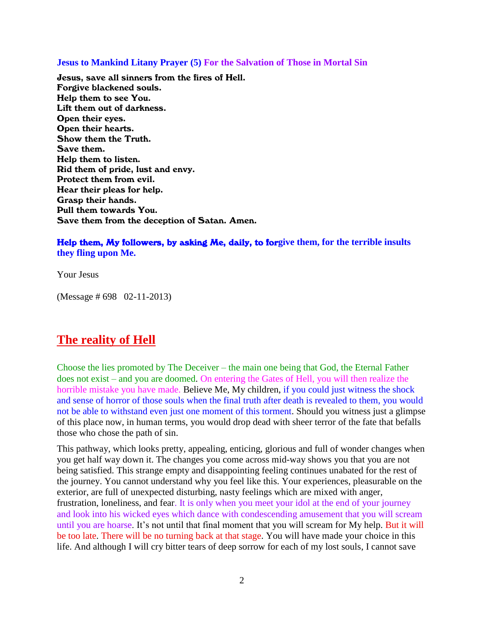**Jesus to Mankind Litany Prayer (5) For the Salvation of Those in Mortal Sin**

Jesus, save all sinners from the fires of Hell. Forgive blackened souls. Help them to see You. Lift them out of darkness. Open their eyes. Open their hearts. Show them the Truth. Save them. Help them to listen. Rid them of pride, lust and envy. Protect them from evil. Hear their pleas for help. Grasp their hands. Pull them towards You. Save them from the deception of Satan. Amen.

## Help them, My followers, by asking Me, daily, to for**give them, for the terrible insults they fling upon Me.**

Your Jesus

(Message # 698 02-11-2013)

## **The reality of Hell**

Choose the lies promoted by The Deceiver – the main one being that God, the Eternal Father does not exist – and you are doomed. On entering the Gates of Hell, you will then realize the horrible mistake you have made. Believe Me, My children, if you could just witness the shock and sense of horror of those souls when the final truth after death is revealed to them, you would not be able to withstand even just one moment of this torment. Should you witness just a glimpse of this place now, in human terms, you would drop dead with sheer terror of the fate that befalls those who chose the path of sin.

This pathway, which looks pretty, appealing, enticing, glorious and full of wonder changes when you get half way down it. The changes you come across mid-way shows you that you are not being satisfied. This strange empty and disappointing feeling continues unabated for the rest of the journey. You cannot understand why you feel like this. Your experiences, pleasurable on the exterior, are full of unexpected disturbing, nasty feelings which are mixed with anger, frustration, loneliness, and fear. It is only when you meet your idol at the end of your journey and look into his wicked eyes which dance with condescending amusement that you will scream until you are hoarse. It's not until that final moment that you will scream for My help. But it will be too late. There will be no turning back at that stage. You will have made your choice in this life. And although I will cry bitter tears of deep sorrow for each of my lost souls, I cannot save